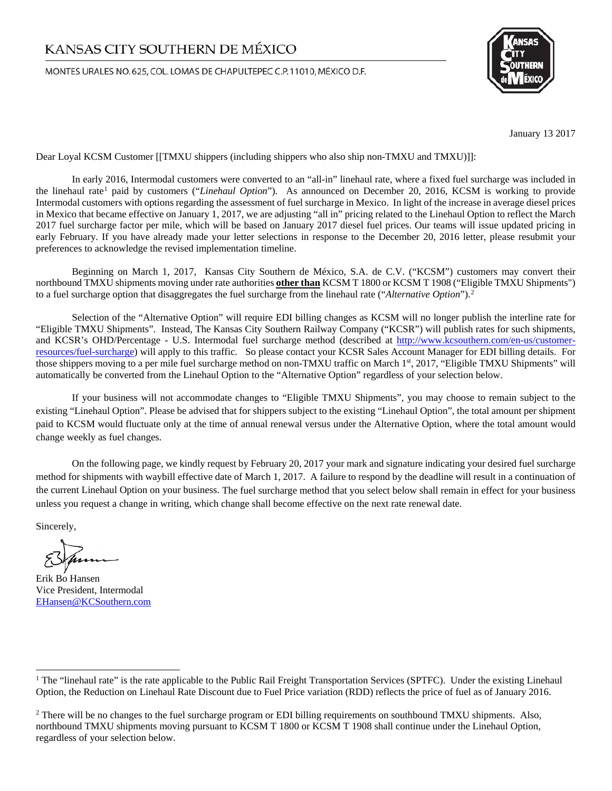## KANSAS CITY SOUTHERN DE MÉXICO

MONTES URALES NO.625, COL. LOMAS DE CHAPULTEPEC C.P. 11010, MÉXICO D.F.



January 13 2017

Dear Loyal KCSM Customer [[TMXU shippers (including shippers who also ship non-TMXU and TMXU)]]:

In early 2016, Intermodal customers were converted to an "all-in" linehaul rate, where a fixed fuel surcharge was included in the linehaul rate<sup>[1](#page-0-0)</sup> paid by customers ("*Linehaul Option*"). As announced on December 20, 2016, KCSM is working to provide Intermodal customers with options regarding the assessment of fuel surcharge in Mexico. In light of the increase in average diesel prices in Mexico that became effective on January 1, 2017, we are adjusting "all in" pricing related to the Linehaul Option to reflect the March 2017 fuel surcharge factor per mile, which will be based on January 2017 diesel fuel prices. Our teams will issue updated pricing in early February. If you have already made your letter selections in response to the December 20, 2016 letter, please resubmit your preferences to acknowledge the revised implementation timeline.

Beginning on March 1, 2017, Kansas City Southern de México, S.A. de C.V. ("KCSM") customers may convert their northbound TMXU shipments moving under rate authorities **other than** KCSM T 1800 or KCSM T 1908 ("Eligible TMXU Shipments") to a fuel surcharge option that disaggregates the fuel surcharge from the linehaul rate ("*Alternative Option*"). [2](#page-0-1)

Selection of the "Alternative Option" will require EDI billing changes as KCSM will no longer publish the interline rate for "Eligible TMXU Shipments". Instead, The Kansas City Southern Railway Company ("KCSR") will publish rates for such shipments, and KCSR's OHD/Percentage - U.S. Intermodal fuel surcharge method (described at [http://www.kcsouthern.com/en-us/customer](http://www.kcsouthern.com/en-us/customer-resources/fuel-surcharge)[resources/fuel-surcharge\)](http://www.kcsouthern.com/en-us/customer-resources/fuel-surcharge) will apply to this traffic. So please contact your KCSR Sales Account Manager for EDI billing details. For those shippers moving to a per mile fuel surcharge method on non-TMXU traffic on March 1st, 2017, "Eligible TMXU Shipments" will automatically be converted from the Linehaul Option to the "Alternative Option" regardless of your selection below.

If your business will not accommodate changes to "Eligible TMXU Shipments", you may choose to remain subject to the existing "Linehaul Option". Please be advised that for shippers subject to the existing "Linehaul Option", the total amount per shipment paid to KCSM would fluctuate only at the time of annual renewal versus under the Alternative Option, where the total amount would change weekly as fuel changes.

On the following page, we kindly request by February 20, 2017 your mark and signature indicating your desired fuel surcharge method for shipments with waybill effective date of March 1, 2017. A failure to respond by the deadline will result in a continuation of the current Linehaul Option on your business. The fuel surcharge method that you select below shall remain in effect for your business unless you request a change in writing, which change shall become effective on the next rate renewal date.

Sincerely,

Erik Bo Hansen Vice President, Intermodal [EHansen@KCSouthern.com](mailto:EHansen@KCSouthern.com)

<span id="page-0-0"></span><sup>&</sup>lt;sup>1</sup> The "linehaul rate" is the rate applicable to the Public Rail Freight Transportation Services (SPTFC). Under the existing Linehaul Option, the Reduction on Linehaul Rate Discount due to Fuel Price variation (RDD) reflects the price of fuel as of January 2016.

<span id="page-0-1"></span><sup>&</sup>lt;sup>2</sup> There will be no changes to the fuel surcharge program or EDI billing requirements on southbound TMXU shipments. Also, northbound TMXU shipments moving pursuant to KCSM T 1800 or KCSM T 1908 shall continue under the Linehaul Option, regardless of your selection below.